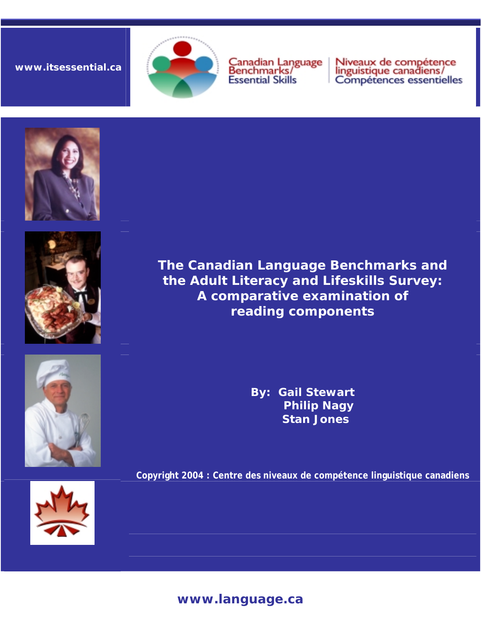## **www.itsessential.ca**



Canadian Language<br>Benchmarks/ **Essential Skills** 

Niveaux de compétence<br>linguistique canadiens/<br>Compétences essentielles









**The Canadian Language Benchmarks and the Adult Literacy and Lifeskills Survey: A comparative examination of reading components** 

> **By: Gail Stewart Philip Nagy Stan Jones**

**Copyright 2004 : Centre des niveaux de compétence linguistique canadiens** 

## **www.language.ca**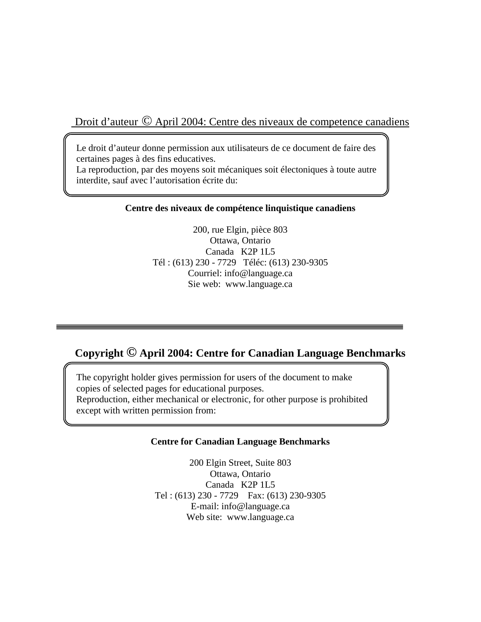Droit d'auteur © April 2004: Centre des niveaux de competence canadiens

Le droit d'auteur donne permission aux utilisateurs de ce document de faire des certaines pages à des fins educatives. La reproduction, par des moyens soit mécaniques soit électoniques à toute autre interdite, sauf avec l'autorisation écrite du:

#### **Centre des niveaux de compétence linquistique canadiens**

200, rue Elgin, pièce 803 Ottawa, Ontario Canada K2P 1L5 Tél : (613) 230 - 7729 Téléc: (613) 230-9305 Courriel: info@language.ca Sie web: www.language.ca

# **Copyright © April 2004: Centre for Canadian Language Benchmarks**

The copyright holder gives permission for users of the document to make copies of selected pages for educational purposes. Reproduction, either mechanical or electronic, for other purpose is prohibited except with written permission from:

#### **Centre for Canadian Language Benchmarks**

200 Elgin Street, Suite 803 Ottawa, Ontario Canada K2P 1L5 Tel : (613) 230 - 7729 Fax: (613) 230-9305 E-mail: info@language.ca Web site: www.language.ca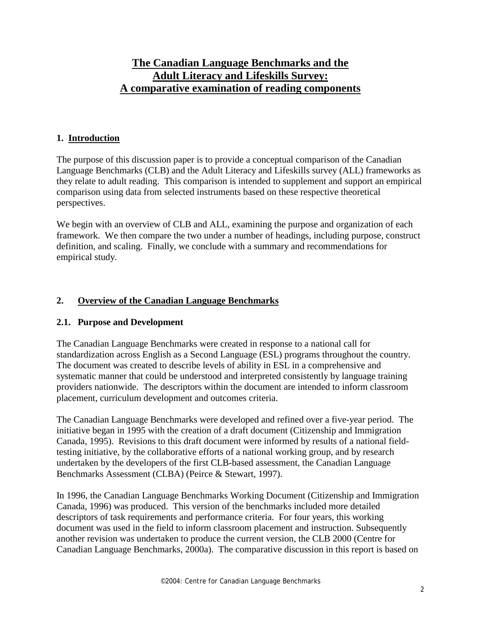## **The Canadian Language Benchmarks and the Adult Literacy and Lifeskills Survey: A comparative examination of reading components**

#### **1. Introduction**

The purpose of this discussion paper is to provide a conceptual comparison of the Canadian Language Benchmarks (CLB) and the Adult Literacy and Lifeskills survey (ALL) frameworks as they relate to adult reading. This comparison is intended to supplement and support an empirical comparison using data from selected instruments based on these respective theoretical perspectives.

We begin with an overview of CLB and ALL, examining the purpose and organization of each framework. We then compare the two under a number of headings, including purpose, construct definition, and scaling. Finally, we conclude with a summary and recommendations for empirical study.

## **2. Overview of the Canadian Language Benchmarks**

#### **2.1. Purpose and Development**

The Canadian Language Benchmarks were created in response to a national call for standardization across English as a Second Language (ESL) programs throughout the country. The document was created to describe levels of ability in ESL in a comprehensive and systematic manner that could be understood and interpreted consistently by language training providers nationwide. The descriptors within the document are intended to inform classroom placement, curriculum development and outcomes criteria.

The Canadian Language Benchmarks were developed and refined over a five-year period. The initiative began in 1995 with the creation of a draft document (Citizenship and Immigration Canada, 1995). Revisions to this draft document were informed by results of a national fieldtesting initiative, by the collaborative efforts of a national working group, and by research undertaken by the developers of the first CLB-based assessment, the Canadian Language Benchmarks Assessment (CLBA) (Peirce & Stewart, 1997).

In 1996, the Canadian Language Benchmarks Working Document (Citizenship and Immigration Canada, 1996) was produced. This version of the benchmarks included more detailed descriptors of task requirements and performance criteria. For four years, this working document was used in the field to inform classroom placement and instruction. Subsequently another revision was undertaken to produce the current version, the CLB 2000 (Centre for Canadian Language Benchmarks, 2000a). The comparative discussion in this report is based on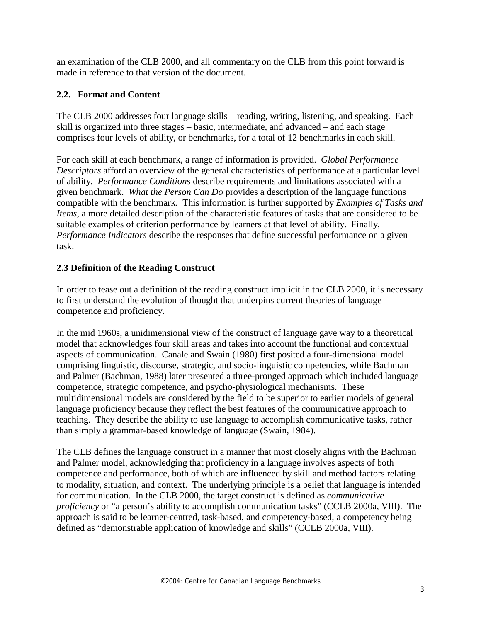an examination of the CLB 2000, and all commentary on the CLB from this point forward is made in reference to that version of the document.

### **2.2. Format and Content**

The CLB 2000 addresses four language skills – reading, writing, listening, and speaking. Each skill is organized into three stages – basic, intermediate, and advanced – and each stage comprises four levels of ability, or benchmarks, for a total of 12 benchmarks in each skill.

For each skill at each benchmark, a range of information is provided. *Global Performance Descriptors* afford an overview of the general characteristics of performance at a particular level of ability. *Performance Conditions* describe requirements and limitations associated with a given benchmark. *What the Person Can Do* provides a description of the language functions compatible with the benchmark. This information is further supported by *Examples of Tasks and Items*, a more detailed description of the characteristic features of tasks that are considered to be suitable examples of criterion performance by learners at that level of ability. Finally, *Performance Indicators* describe the responses that define successful performance on a given task.

## **2.3 Definition of the Reading Construct**

In order to tease out a definition of the reading construct implicit in the CLB 2000, it is necessary to first understand the evolution of thought that underpins current theories of language competence and proficiency.

In the mid 1960s, a unidimensional view of the construct of language gave way to a theoretical model that acknowledges four skill areas and takes into account the functional and contextual aspects of communication. Canale and Swain (1980) first posited a four-dimensional model comprising linguistic, discourse, strategic, and socio-linguistic competencies, while Bachman and Palmer (Bachman, 1988) later presented a three-pronged approach which included language competence, strategic competence, and psycho-physiological mechanisms. These multidimensional models are considered by the field to be superior to earlier models of general language proficiency because they reflect the best features of the communicative approach to teaching. They describe the ability to use language to accomplish communicative tasks, rather than simply a grammar-based knowledge of language (Swain, 1984).

The CLB defines the language construct in a manner that most closely aligns with the Bachman and Palmer model, acknowledging that proficiency in a language involves aspects of both competence and performance, both of which are influenced by skill and method factors relating to modality, situation, and context. The underlying principle is a belief that language is intended for communication. In the CLB 2000, the target construct is defined as *communicative proficiency* or "a person's ability to accomplish communication tasks" (CCLB 2000a, VIII). The approach is said to be learner-centred, task-based, and competency-based, a competency being defined as "demonstrable application of knowledge and skills" (CCLB 2000a, VIII).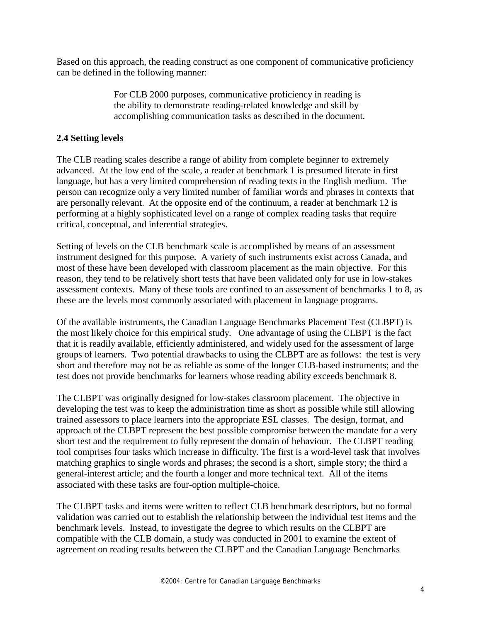Based on this approach, the reading construct as one component of communicative proficiency can be defined in the following manner:

> For CLB 2000 purposes, communicative proficiency in reading is the ability to demonstrate reading-related knowledge and skill by accomplishing communication tasks as described in the document.

## **2.4 Setting levels**

The CLB reading scales describe a range of ability from complete beginner to extremely advanced. At the low end of the scale, a reader at benchmark 1 is presumed literate in first language, but has a very limited comprehension of reading texts in the English medium. The person can recognize only a very limited number of familiar words and phrases in contexts that are personally relevant. At the opposite end of the continuum, a reader at benchmark 12 is performing at a highly sophisticated level on a range of complex reading tasks that require critical, conceptual, and inferential strategies.

Setting of levels on the CLB benchmark scale is accomplished by means of an assessment instrument designed for this purpose. A variety of such instruments exist across Canada, and most of these have been developed with classroom placement as the main objective. For this reason, they tend to be relatively short tests that have been validated only for use in low-stakes assessment contexts. Many of these tools are confined to an assessment of benchmarks 1 to 8, as these are the levels most commonly associated with placement in language programs.

Of the available instruments, the Canadian Language Benchmarks Placement Test (CLBPT) is the most likely choice for this empirical study. One advantage of using the CLBPT is the fact that it is readily available, efficiently administered, and widely used for the assessment of large groups of learners. Two potential drawbacks to using the CLBPT are as follows: the test is very short and therefore may not be as reliable as some of the longer CLB-based instruments; and the test does not provide benchmarks for learners whose reading ability exceeds benchmark 8.

The CLBPT was originally designed for low-stakes classroom placement. The objective in developing the test was to keep the administration time as short as possible while still allowing trained assessors to place learners into the appropriate ESL classes. The design, format, and approach of the CLBPT represent the best possible compromise between the mandate for a very short test and the requirement to fully represent the domain of behaviour. The CLBPT reading tool comprises four tasks which increase in difficulty. The first is a word-level task that involves matching graphics to single words and phrases; the second is a short, simple story; the third a general-interest article; and the fourth a longer and more technical text. All of the items associated with these tasks are four-option multiple-choice.

The CLBPT tasks and items were written to reflect CLB benchmark descriptors, but no formal validation was carried out to establish the relationship between the individual test items and the benchmark levels. Instead, to investigate the degree to which results on the CLBPT are compatible with the CLB domain, a study was conducted in 2001 to examine the extent of agreement on reading results between the CLBPT and the Canadian Language Benchmarks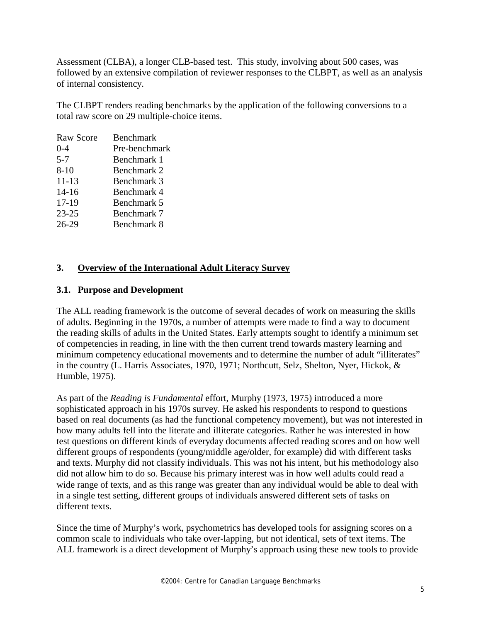Assessment (CLBA), a longer CLB-based test. This study, involving about 500 cases, was followed by an extensive compilation of reviewer responses to the CLBPT, as well as an analysis of internal consistency.

The CLBPT renders reading benchmarks by the application of the following conversions to a total raw score on 29 multiple-choice items.

| Raw Score | <b>Benchmark</b> |
|-----------|------------------|
| $0 - 4$   | Pre-benchmark    |
| $5 - 7$   | Benchmark 1      |
| $8 - 10$  | Benchmark 2      |
| $11 - 13$ | Benchmark 3      |
| $14 - 16$ | Benchmark 4      |
| 17-19     | Benchmark 5      |
| $23 - 25$ | Benchmark 7      |
| 26-29     | Benchmark 8      |
|           |                  |

## **3. Overview of the International Adult Literacy Survey**

#### **3.1. Purpose and Development**

The ALL reading framework is the outcome of several decades of work on measuring the skills of adults. Beginning in the 1970s, a number of attempts were made to find a way to document the reading skills of adults in the United States. Early attempts sought to identify a minimum set of competencies in reading, in line with the then current trend towards mastery learning and minimum competency educational movements and to determine the number of adult "illiterates" in the country (L. Harris Associates, 1970, 1971; Northcutt, Selz, Shelton, Nyer, Hickok, & Humble, 1975).

As part of the *Reading is Fundamental* effort, Murphy (1973, 1975) introduced a more sophisticated approach in his 1970s survey. He asked his respondents to respond to questions based on real documents (as had the functional competency movement), but was not interested in how many adults fell into the literate and illiterate categories. Rather he was interested in how test questions on different kinds of everyday documents affected reading scores and on how well different groups of respondents (young/middle age/older, for example) did with different tasks and texts. Murphy did not classify individuals. This was not his intent, but his methodology also did not allow him to do so. Because his primary interest was in how well adults could read a wide range of texts, and as this range was greater than any individual would be able to deal with in a single test setting, different groups of individuals answered different sets of tasks on different texts.

Since the time of Murphy's work, psychometrics has developed tools for assigning scores on a common scale to individuals who take over-lapping, but not identical, sets of text items. The ALL framework is a direct development of Murphy's approach using these new tools to provide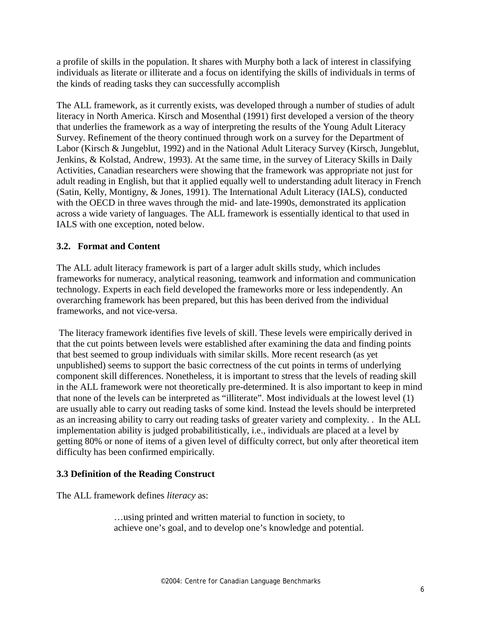a profile of skills in the population. It shares with Murphy both a lack of interest in classifying individuals as literate or illiterate and a focus on identifying the skills of individuals in terms of the kinds of reading tasks they can successfully accomplish

The ALL framework, as it currently exists, was developed through a number of studies of adult literacy in North America. Kirsch and Mosenthal (1991) first developed a version of the theory that underlies the framework as a way of interpreting the results of the Young Adult Literacy Survey. Refinement of the theory continued through work on a survey for the Department of Labor (Kirsch & Jungeblut, 1992) and in the National Adult Literacy Survey (Kirsch, Jungeblut, Jenkins, & Kolstad, Andrew, 1993). At the same time, in the survey of Literacy Skills in Daily Activities, Canadian researchers were showing that the framework was appropriate not just for adult reading in English, but that it applied equally well to understanding adult literacy in French (Satin, Kelly, Montigny, & Jones, 1991). The International Adult Literacy (IALS), conducted with the OECD in three waves through the mid- and late-1990s, demonstrated its application across a wide variety of languages. The ALL framework is essentially identical to that used in IALS with one exception, noted below.

## **3.2. Format and Content**

The ALL adult literacy framework is part of a larger adult skills study, which includes frameworks for numeracy, analytical reasoning, teamwork and information and communication technology. Experts in each field developed the frameworks more or less independently. An overarching framework has been prepared, but this has been derived from the individual frameworks, and not vice-versa.

 The literacy framework identifies five levels of skill. These levels were empirically derived in that the cut points between levels were established after examining the data and finding points that best seemed to group individuals with similar skills. More recent research (as yet unpublished) seems to support the basic correctness of the cut points in terms of underlying component skill differences. Nonetheless, it is important to stress that the levels of reading skill in the ALL framework were not theoretically pre-determined. It is also important to keep in mind that none of the levels can be interpreted as "illiterate". Most individuals at the lowest level (1) are usually able to carry out reading tasks of some kind. Instead the levels should be interpreted as an increasing ability to carry out reading tasks of greater variety and complexity. . In the ALL implementation ability is judged probabilitistically, i.e., individuals are placed at a level by getting 80% or none of items of a given level of difficulty correct, but only after theoretical item difficulty has been confirmed empirically.

#### **3.3 Definition of the Reading Construct**

The ALL framework defines *literacy* as:

…using printed and written material to function in society, to achieve one's goal, and to develop one's knowledge and potential.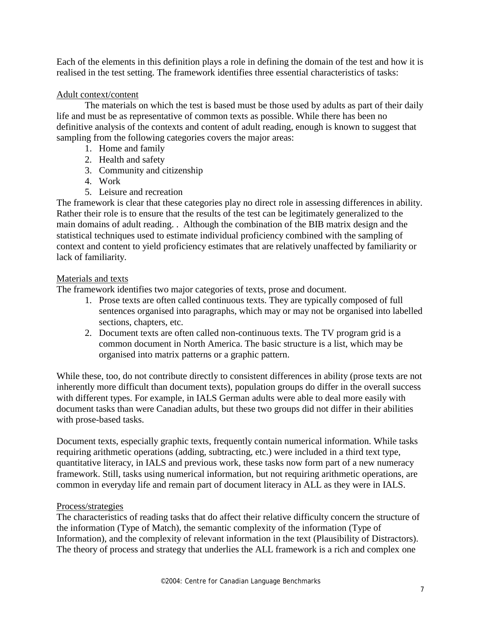Each of the elements in this definition plays a role in defining the domain of the test and how it is realised in the test setting. The framework identifies three essential characteristics of tasks:

#### Adult context/content

 The materials on which the test is based must be those used by adults as part of their daily life and must be as representative of common texts as possible. While there has been no definitive analysis of the contexts and content of adult reading, enough is known to suggest that sampling from the following categories covers the major areas:

- 1. Home and family
- 2. Health and safety
- 3. Community and citizenship
- 4. Work
- 5. Leisure and recreation

The framework is clear that these categories play no direct role in assessing differences in ability. Rather their role is to ensure that the results of the test can be legitimately generalized to the main domains of adult reading. . Although the combination of the BIB matrix design and the statistical techniques used to estimate individual proficiency combined with the sampling of context and content to yield proficiency estimates that are relatively unaffected by familiarity or lack of familiarity.

#### Materials and texts

The framework identifies two major categories of texts, prose and document.

- 1. Prose texts are often called continuous texts. They are typically composed of full sentences organised into paragraphs, which may or may not be organised into labelled sections, chapters, etc.
- 2. Document texts are often called non-continuous texts. The TV program grid is a common document in North America. The basic structure is a list, which may be organised into matrix patterns or a graphic pattern.

While these, too, do not contribute directly to consistent differences in ability (prose texts are not inherently more difficult than document texts), population groups do differ in the overall success with different types. For example, in IALS German adults were able to deal more easily with document tasks than were Canadian adults, but these two groups did not differ in their abilities with prose-based tasks.

Document texts, especially graphic texts, frequently contain numerical information. While tasks requiring arithmetic operations (adding, subtracting, etc.) were included in a third text type, quantitative literacy, in IALS and previous work, these tasks now form part of a new numeracy framework. Still, tasks using numerical information, but not requiring arithmetic operations, are common in everyday life and remain part of document literacy in ALL as they were in IALS.

#### Process/strategies

The characteristics of reading tasks that do affect their relative difficulty concern the structure of the information (Type of Match), the semantic complexity of the information (Type of Information), and the complexity of relevant information in the text (Plausibility of Distractors). The theory of process and strategy that underlies the ALL framework is a rich and complex one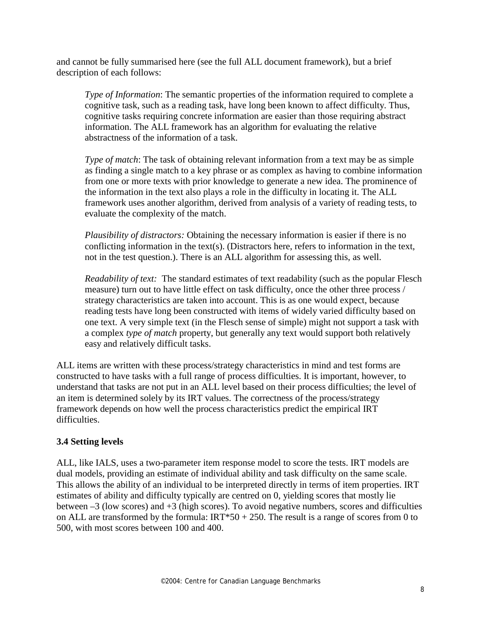and cannot be fully summarised here (see the full ALL document framework), but a brief description of each follows:

*Type of Information*: The semantic properties of the information required to complete a cognitive task, such as a reading task, have long been known to affect difficulty. Thus, cognitive tasks requiring concrete information are easier than those requiring abstract information. The ALL framework has an algorithm for evaluating the relative abstractness of the information of a task.

*Type of match*: The task of obtaining relevant information from a text may be as simple as finding a single match to a key phrase or as complex as having to combine information from one or more texts with prior knowledge to generate a new idea. The prominence of the information in the text also plays a role in the difficulty in locating it. The ALL framework uses another algorithm, derived from analysis of a variety of reading tests, to evaluate the complexity of the match.

*Plausibility of distractors:* Obtaining the necessary information is easier if there is no conflicting information in the text(s). (Distractors here, refers to information in the text, not in the test question.). There is an ALL algorithm for assessing this, as well.

*Readability of text:* The standard estimates of text readability (such as the popular Flesch measure) turn out to have little effect on task difficulty, once the other three process / strategy characteristics are taken into account. This is as one would expect, because reading tests have long been constructed with items of widely varied difficulty based on one text. A very simple text (in the Flesch sense of simple) might not support a task with a complex *type of match* property, but generally any text would support both relatively easy and relatively difficult tasks.

ALL items are written with these process/strategy characteristics in mind and test forms are constructed to have tasks with a full range of process difficulties. It is important, however, to understand that tasks are not put in an ALL level based on their process difficulties; the level of an item is determined solely by its IRT values. The correctness of the process/strategy framework depends on how well the process characteristics predict the empirical IRT difficulties.

#### **3.4 Setting levels**

ALL, like IALS, uses a two-parameter item response model to score the tests. IRT models are dual models, providing an estimate of individual ability and task difficulty on the same scale. This allows the ability of an individual to be interpreted directly in terms of item properties. IRT estimates of ability and difficulty typically are centred on 0, yielding scores that mostly lie between  $-3$  (low scores) and  $+3$  (high scores). To avoid negative numbers, scores and difficulties on ALL are transformed by the formula:  $IRT*50 + 250$ . The result is a range of scores from 0 to 500, with most scores between 100 and 400.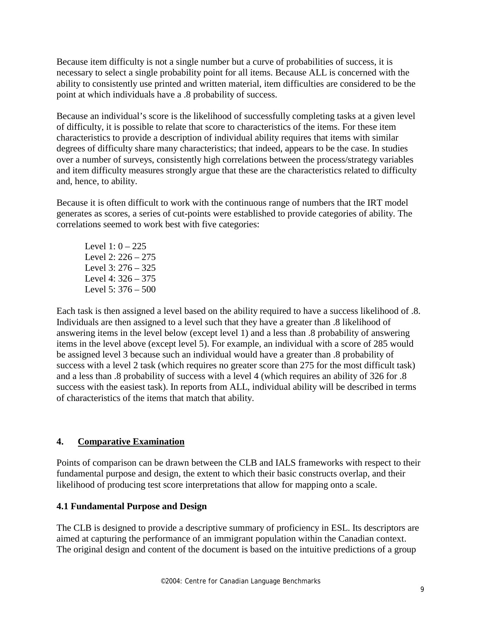Because item difficulty is not a single number but a curve of probabilities of success, it is necessary to select a single probability point for all items. Because ALL is concerned with the ability to consistently use printed and written material, item difficulties are considered to be the point at which individuals have a .8 probability of success.

Because an individual's score is the likelihood of successfully completing tasks at a given level of difficulty, it is possible to relate that score to characteristics of the items. For these item characteristics to provide a description of individual ability requires that items with similar degrees of difficulty share many characteristics; that indeed, appears to be the case. In studies over a number of surveys, consistently high correlations between the process/strategy variables and item difficulty measures strongly argue that these are the characteristics related to difficulty and, hence, to ability.

Because it is often difficult to work with the continuous range of numbers that the IRT model generates as scores, a series of cut-points were established to provide categories of ability. The correlations seemed to work best with five categories:

Level  $1: 0 - 225$  Level 2: 226 – 275 Level 3: 276 – 325 Level 4: 326 – 375 Level 5: 376 – 500

Each task is then assigned a level based on the ability required to have a success likelihood of .8. Individuals are then assigned to a level such that they have a greater than .8 likelihood of answering items in the level below (except level 1) and a less than .8 probability of answering items in the level above (except level 5). For example, an individual with a score of 285 would be assigned level 3 because such an individual would have a greater than .8 probability of success with a level 2 task (which requires no greater score than 275 for the most difficult task) and a less than .8 probability of success with a level 4 (which requires an ability of 326 for .8 success with the easiest task). In reports from ALL, individual ability will be described in terms of characteristics of the items that match that ability.

#### **4. Comparative Examination**

Points of comparison can be drawn between the CLB and IALS frameworks with respect to their fundamental purpose and design, the extent to which their basic constructs overlap, and their likelihood of producing test score interpretations that allow for mapping onto a scale.

#### **4.1 Fundamental Purpose and Design**

The CLB is designed to provide a descriptive summary of proficiency in ESL. Its descriptors are aimed at capturing the performance of an immigrant population within the Canadian context. The original design and content of the document is based on the intuitive predictions of a group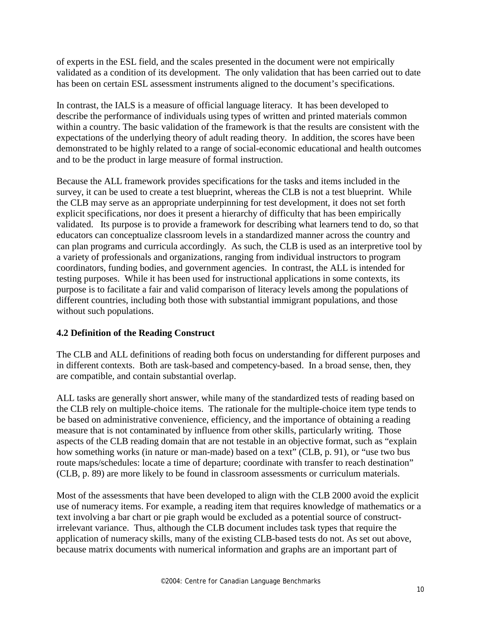of experts in the ESL field, and the scales presented in the document were not empirically validated as a condition of its development. The only validation that has been carried out to date has been on certain ESL assessment instruments aligned to the document's specifications.

In contrast, the IALS is a measure of official language literacy. It has been developed to describe the performance of individuals using types of written and printed materials common within a country. The basic validation of the framework is that the results are consistent with the expectations of the underlying theory of adult reading theory. In addition, the scores have been demonstrated to be highly related to a range of social-economic educational and health outcomes and to be the product in large measure of formal instruction.

Because the ALL framework provides specifications for the tasks and items included in the survey, it can be used to create a test blueprint, whereas the CLB is not a test blueprint. While the CLB may serve as an appropriate underpinning for test development, it does not set forth explicit specifications, nor does it present a hierarchy of difficulty that has been empirically validated. Its purpose is to provide a framework for describing what learners tend to do, so that educators can conceptualize classroom levels in a standardized manner across the country and can plan programs and curricula accordingly. As such, the CLB is used as an interpretive tool by a variety of professionals and organizations, ranging from individual instructors to program coordinators, funding bodies, and government agencies. In contrast, the ALL is intended for testing purposes. While it has been used for instructional applications in some contexts, its purpose is to facilitate a fair and valid comparison of literacy levels among the populations of different countries, including both those with substantial immigrant populations, and those without such populations.

#### **4.2 Definition of the Reading Construct**

The CLB and ALL definitions of reading both focus on understanding for different purposes and in different contexts. Both are task-based and competency-based. In a broad sense, then, they are compatible, and contain substantial overlap.

ALL tasks are generally short answer, while many of the standardized tests of reading based on the CLB rely on multiple-choice items. The rationale for the multiple-choice item type tends to be based on administrative convenience, efficiency, and the importance of obtaining a reading measure that is not contaminated by influence from other skills, particularly writing. Those aspects of the CLB reading domain that are not testable in an objective format, such as "explain how something works (in nature or man-made) based on a text" (CLB, p. 91), or "use two bus route maps/schedules: locate a time of departure; coordinate with transfer to reach destination" (CLB, p. 89) are more likely to be found in classroom assessments or curriculum materials.

Most of the assessments that have been developed to align with the CLB 2000 avoid the explicit use of numeracy items. For example, a reading item that requires knowledge of mathematics or a text involving a bar chart or pie graph would be excluded as a potential source of constructirrelevant variance. Thus, although the CLB document includes task types that require the application of numeracy skills, many of the existing CLB-based tests do not. As set out above, because matrix documents with numerical information and graphs are an important part of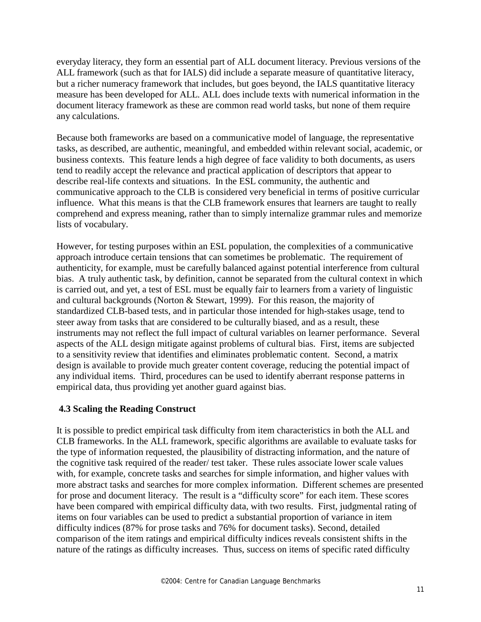everyday literacy, they form an essential part of ALL document literacy. Previous versions of the ALL framework (such as that for IALS) did include a separate measure of quantitative literacy, but a richer numeracy framework that includes, but goes beyond, the IALS quantitative literacy measure has been developed for ALL. ALL does include texts with numerical information in the document literacy framework as these are common read world tasks, but none of them require any calculations.

Because both frameworks are based on a communicative model of language, the representative tasks, as described, are authentic, meaningful, and embedded within relevant social, academic, or business contexts. This feature lends a high degree of face validity to both documents, as users tend to readily accept the relevance and practical application of descriptors that appear to describe real-life contexts and situations. In the ESL community, the authentic and communicative approach to the CLB is considered very beneficial in terms of positive curricular influence. What this means is that the CLB framework ensures that learners are taught to really comprehend and express meaning, rather than to simply internalize grammar rules and memorize lists of vocabulary.

However, for testing purposes within an ESL population, the complexities of a communicative approach introduce certain tensions that can sometimes be problematic. The requirement of authenticity, for example, must be carefully balanced against potential interference from cultural bias. A truly authentic task, by definition, cannot be separated from the cultural context in which is carried out, and yet, a test of ESL must be equally fair to learners from a variety of linguistic and cultural backgrounds (Norton & Stewart, 1999). For this reason, the majority of standardized CLB-based tests, and in particular those intended for high-stakes usage, tend to steer away from tasks that are considered to be culturally biased, and as a result, these instruments may not reflect the full impact of cultural variables on learner performance. Several aspects of the ALL design mitigate against problems of cultural bias. First, items are subjected to a sensitivity review that identifies and eliminates problematic content. Second, a matrix design is available to provide much greater content coverage, reducing the potential impact of any individual items. Third, procedures can be used to identify aberrant response patterns in empirical data, thus providing yet another guard against bias.

#### **4.3 Scaling the Reading Construct**

It is possible to predict empirical task difficulty from item characteristics in both the ALL and CLB frameworks. In the ALL framework, specific algorithms are available to evaluate tasks for the type of information requested, the plausibility of distracting information, and the nature of the cognitive task required of the reader/ test taker. These rules associate lower scale values with, for example, concrete tasks and searches for simple information, and higher values with more abstract tasks and searches for more complex information. Different schemes are presented for prose and document literacy. The result is a "difficulty score" for each item. These scores have been compared with empirical difficulty data, with two results. First, judgmental rating of items on four variables can be used to predict a substantial proportion of variance in item difficulty indices (87% for prose tasks and 76% for document tasks). Second, detailed comparison of the item ratings and empirical difficulty indices reveals consistent shifts in the nature of the ratings as difficulty increases. Thus, success on items of specific rated difficulty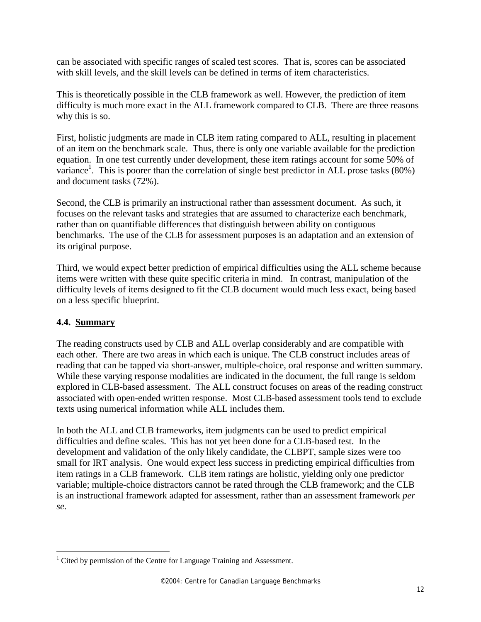can be associated with specific ranges of scaled test scores. That is, scores can be associated with skill levels, and the skill levels can be defined in terms of item characteristics.

This is theoretically possible in the CLB framework as well. However, the prediction of item difficulty is much more exact in the ALL framework compared to CLB. There are three reasons why this is so.

First, holistic judgments are made in CLB item rating compared to ALL, resulting in placement of an item on the benchmark scale. Thus, there is only one variable available for the prediction equation. In one test currently under development, these item ratings account for some 50% of variance<sup>1</sup>. This is poorer than the correlation of single best predictor in ALL prose tasks (80%) and document tasks (72%).

Second, the CLB is primarily an instructional rather than assessment document. As such, it focuses on the relevant tasks and strategies that are assumed to characterize each benchmark, rather than on quantifiable differences that distinguish between ability on contiguous benchmarks. The use of the CLB for assessment purposes is an adaptation and an extension of its original purpose.

Third, we would expect better prediction of empirical difficulties using the ALL scheme because items were written with these quite specific criteria in mind. In contrast, manipulation of the difficulty levels of items designed to fit the CLB document would much less exact, being based on a less specific blueprint.

#### **4.4. Summary**

 $\overline{a}$ 

The reading constructs used by CLB and ALL overlap considerably and are compatible with each other. There are two areas in which each is unique. The CLB construct includes areas of reading that can be tapped via short-answer, multiple-choice, oral response and written summary. While these varying response modalities are indicated in the document, the full range is seldom explored in CLB-based assessment. The ALL construct focuses on areas of the reading construct associated with open-ended written response. Most CLB-based assessment tools tend to exclude texts using numerical information while ALL includes them.

In both the ALL and CLB frameworks, item judgments can be used to predict empirical difficulties and define scales. This has not yet been done for a CLB-based test. In the development and validation of the only likely candidate, the CLBPT, sample sizes were too small for IRT analysis. One would expect less success in predicting empirical difficulties from item ratings in a CLB framework. CLB item ratings are holistic, yielding only one predictor variable; multiple-choice distractors cannot be rated through the CLB framework; and the CLB is an instructional framework adapted for assessment, rather than an assessment framework *per se.*

<sup>&</sup>lt;sup>1</sup> Cited by permission of the Centre for Language Training and Assessment.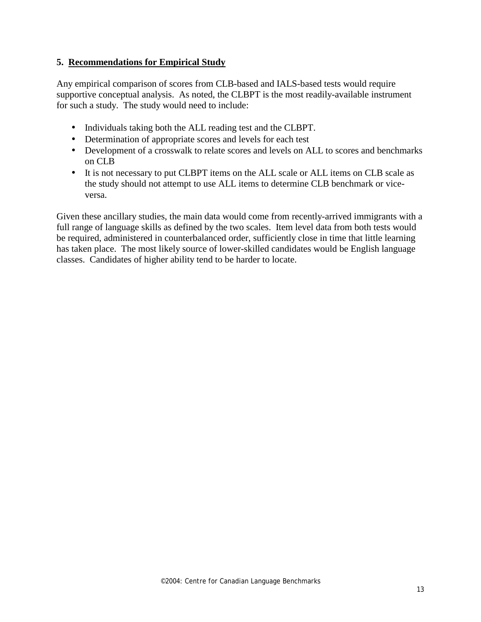### **5. Recommendations for Empirical Study**

Any empirical comparison of scores from CLB-based and IALS-based tests would require supportive conceptual analysis. As noted, the CLBPT is the most readily-available instrument for such a study. The study would need to include:

- Individuals taking both the ALL reading test and the CLBPT.
- Determination of appropriate scores and levels for each test
- Development of a crosswalk to relate scores and levels on ALL to scores and benchmarks on CLB
- It is not necessary to put CLBPT items on the ALL scale or ALL items on CLB scale as the study should not attempt to use ALL items to determine CLB benchmark or viceversa.

Given these ancillary studies, the main data would come from recently-arrived immigrants with a full range of language skills as defined by the two scales. Item level data from both tests would be required, administered in counterbalanced order, sufficiently close in time that little learning has taken place. The most likely source of lower-skilled candidates would be English language classes. Candidates of higher ability tend to be harder to locate.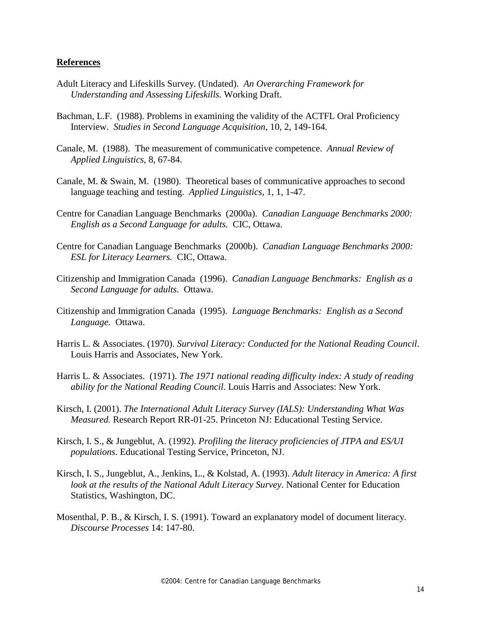#### **References**

- Adult Literacy and Lifeskills Survey. (Undated). *An Overarching Framework for Understanding and Assessing Lifeskills.* Working Draft.
- Bachman, L.F. (1988). Problems in examining the validity of the ACTFL Oral Proficiency Interview. *Studies in Second Language Acquisition*, 10, 2, 149-164.
- Canale, M. (1988). The measurement of communicative competence. *Annual Review of Applied Linguistics*, 8, 67-84.
- Canale, M. & Swain, M. (1980). Theoretical bases of communicative approaches to second language teaching and testing. *Applied Linguistics*, 1, 1, 1-47.
- Centre for Canadian Language Benchmarks (2000a). *Canadian Language Benchmarks 2000: English as a Second Language for adults.* CIC, Ottawa.
- Centre for Canadian Language Benchmarks (2000b). *Canadian Language Benchmarks 2000: ESL for Literacy Learners.* CIC, Ottawa.
- Citizenship and Immigration Canada (1996). *Canadian Language Benchmarks: English as a Second Language for adults.* Ottawa.
- Citizenship and Immigration Canada (1995). *Language Benchmarks: English as a Second Language.* Ottawa.
- Harris L. & Associates. (1970). *Survival Literacy: Conducted for the National Reading Council*. Louis Harris and Associates, New York.
- Harris L. & Associates. (1971). *The 1971 national reading difficulty index: A study of reading ability for the National Reading Council*. Louis Harris and Associates: New York.
- Kirsch, I. (2001). *The International Adult Literacy Survey (IALS): Understanding What Was Measured.* Research Report RR-01-25. Princeton NJ: Educational Testing Service.
- Kirsch, I. S., & Jungeblut, A. (1992). *Profiling the literacy proficiencies of JTPA and ES/UI populations*. Educational Testing Service, Princeton, NJ.
- Kirsch, I. S., Jungeblut, A., Jenkins, L., & Kolstad, A. (1993). *Adult literacy in America: A first look at the results of the National Adult Literacy Survey*. National Center for Education Statistics, Washington, DC.
- Mosenthal, P. B., & Kirsch, I. S. (1991). Toward an explanatory model of document literacy. *Discourse Processes* 14: 147-80.